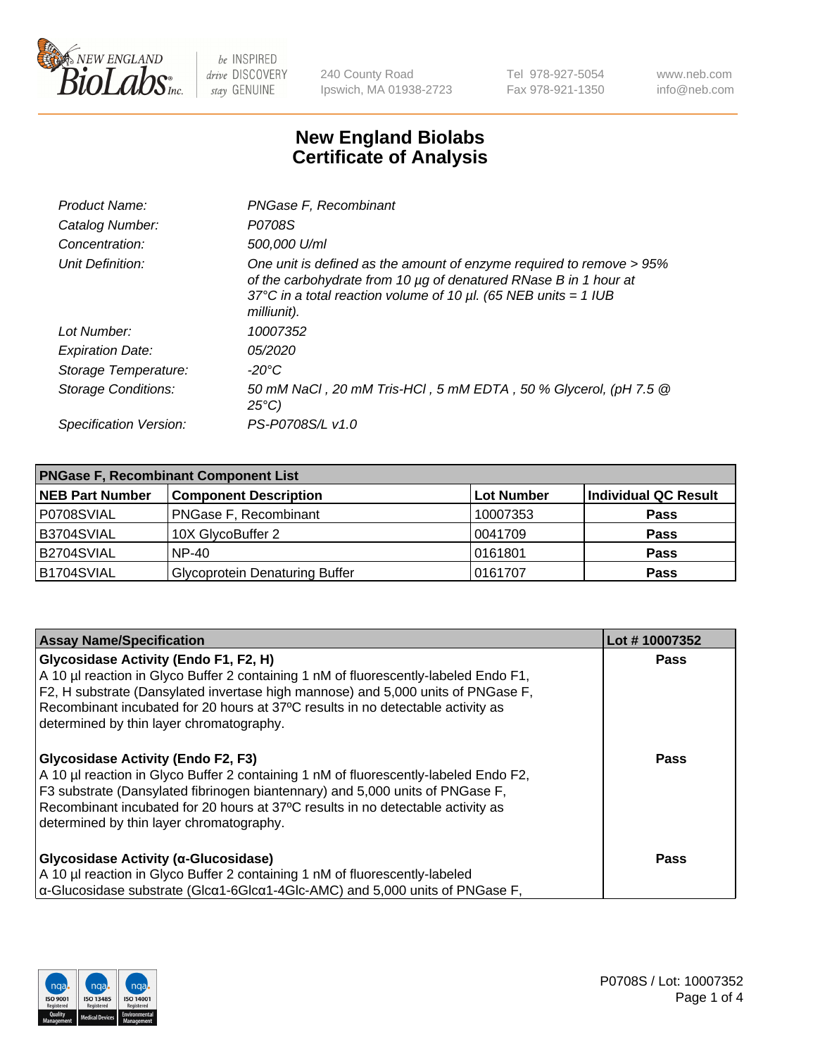

240 County Road Ipswich, MA 01938-2723 Tel 978-927-5054 Fax 978-921-1350 www.neb.com info@neb.com

## **New England Biolabs Certificate of Analysis**

| Product Name:              | PNGase F, Recombinant                                                                                                                                                                                                           |
|----------------------------|---------------------------------------------------------------------------------------------------------------------------------------------------------------------------------------------------------------------------------|
| Catalog Number:            | P0708S                                                                                                                                                                                                                          |
| Concentration:             | 500,000 U/ml                                                                                                                                                                                                                    |
| Unit Definition:           | One unit is defined as the amount of enzyme required to remove > 95%<br>of the carbohydrate from 10 µg of denatured RNase B in 1 hour at<br>37°C in a total reaction volume of 10 $\mu$ l. (65 NEB units = 1 IUB<br>milliunit). |
| Lot Number:                | 10007352                                                                                                                                                                                                                        |
| <b>Expiration Date:</b>    | <i>05/2020</i>                                                                                                                                                                                                                  |
| Storage Temperature:       | -20°C                                                                                                                                                                                                                           |
| <b>Storage Conditions:</b> | 50 mM NaCl, 20 mM Tris-HCl, 5 mM EDTA, 50 % Glycerol, (pH 7.5 @<br>$25^{\circ}C$                                                                                                                                                |
| Specification Version:     | PS-P0708S/L v1.0                                                                                                                                                                                                                |

| <b>PNGase F, Recombinant Component List</b> |                                       |            |                      |  |
|---------------------------------------------|---------------------------------------|------------|----------------------|--|
| <b>NEB Part Number</b>                      | <b>Component Description</b>          | Lot Number | Individual QC Result |  |
| P0708SVIAL                                  | <b>PNGase F, Recombinant</b>          | 10007353   | <b>Pass</b>          |  |
| B3704SVIAL                                  | 10X GlycoBuffer 2                     | 10041709   | <b>Pass</b>          |  |
| B2704SVIAL                                  | $NP-40$                               | 0161801    | <b>Pass</b>          |  |
| B1704SVIAL                                  | <b>Glycoprotein Denaturing Buffer</b> | 0161707    | <b>Pass</b>          |  |

| <b>Assay Name/Specification</b>                                                                        | Lot #10007352 |
|--------------------------------------------------------------------------------------------------------|---------------|
| Glycosidase Activity (Endo F1, F2, H)                                                                  | Pass          |
| A 10 µl reaction in Glyco Buffer 2 containing 1 nM of fluorescently-labeled Endo F1,                   |               |
| F2, H substrate (Dansylated invertase high mannose) and 5,000 units of PNGase F,                       |               |
| Recombinant incubated for 20 hours at 37°C results in no detectable activity as                        |               |
| determined by thin layer chromatography.                                                               |               |
| <b>Glycosidase Activity (Endo F2, F3)</b>                                                              | <b>Pass</b>   |
| A 10 µl reaction in Glyco Buffer 2 containing 1 nM of fluorescently-labeled Endo F2,                   |               |
| F3 substrate (Dansylated fibrinogen biantennary) and 5,000 units of PNGase F,                          |               |
| Recombinant incubated for 20 hours at 37°C results in no detectable activity as                        |               |
| determined by thin layer chromatography.                                                               |               |
| Glycosidase Activity (α-Glucosidase)                                                                   | Pass          |
| A 10 µl reaction in Glyco Buffer 2 containing 1 nM of fluorescently-labeled                            |               |
| $\alpha$ -Glucosidase substrate (Glc $\alpha$ 1-6Glc $\alpha$ 1-4Glc-AMC) and 5,000 units of PNGase F, |               |

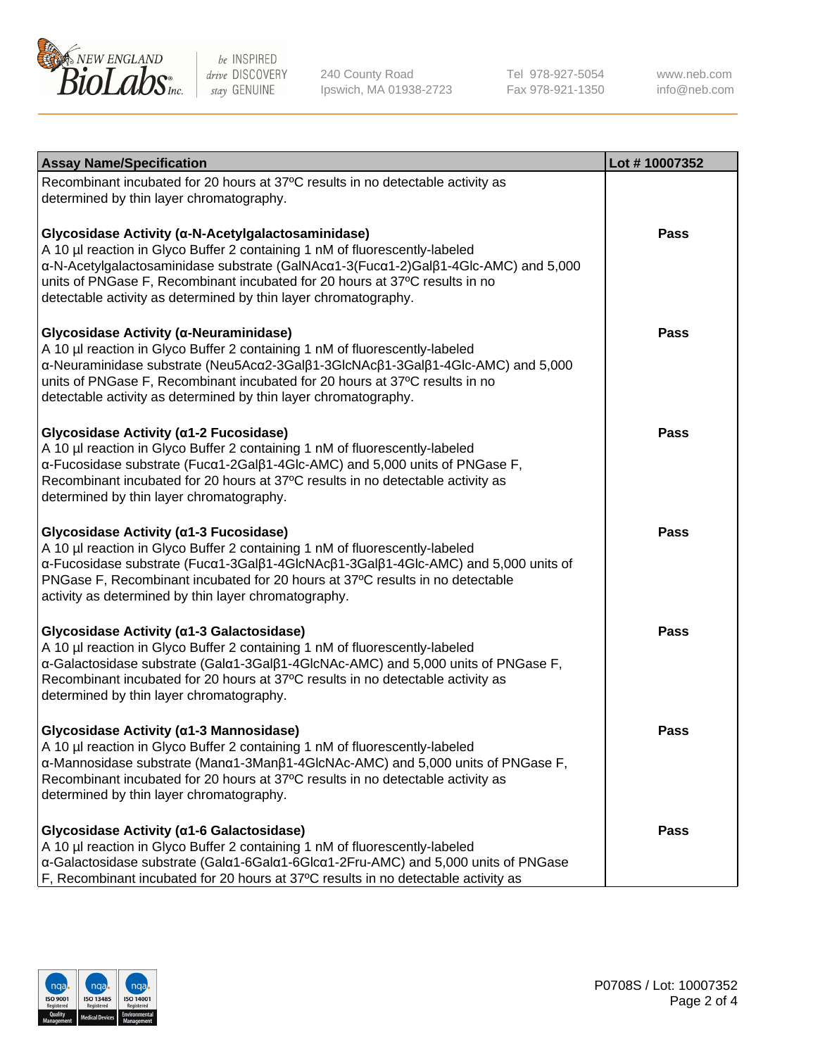

240 County Road Ipswich, MA 01938-2723 Tel 978-927-5054 Fax 978-921-1350 www.neb.com info@neb.com

| <b>Assay Name/Specification</b>                                                                                                                                                                                                                                                                                                                                            | Lot #10007352 |
|----------------------------------------------------------------------------------------------------------------------------------------------------------------------------------------------------------------------------------------------------------------------------------------------------------------------------------------------------------------------------|---------------|
| Recombinant incubated for 20 hours at 37°C results in no detectable activity as<br>determined by thin layer chromatography.                                                                                                                                                                                                                                                |               |
| Glycosidase Activity (α-N-Acetylgalactosaminidase)<br>A 10 µl reaction in Glyco Buffer 2 containing 1 nM of fluorescently-labeled<br>α-N-Acetylgalactosaminidase substrate (GalNAcα1-3(Fucα1-2)Galβ1-4Glc-AMC) and 5,000<br>units of PNGase F, Recombinant incubated for 20 hours at 37°C results in no<br>detectable activity as determined by thin layer chromatography. | <b>Pass</b>   |
| Glycosidase Activity (α-Neuraminidase)<br>A 10 µl reaction in Glyco Buffer 2 containing 1 nM of fluorescently-labeled<br>α-Neuraminidase substrate (Neu5Acα2-3Galβ1-3GlcNAcβ1-3Galβ1-4Glc-AMC) and 5,000<br>units of PNGase F, Recombinant incubated for 20 hours at 37°C results in no<br>detectable activity as determined by thin layer chromatography.                 | Pass          |
| Glycosidase Activity (a1-2 Fucosidase)<br>A 10 µl reaction in Glyco Buffer 2 containing 1 nM of fluorescently-labeled<br>α-Fucosidase substrate (Fucα1-2Galβ1-4Glc-AMC) and 5,000 units of PNGase F,<br>Recombinant incubated for 20 hours at 37°C results in no detectable activity as<br>determined by thin layer chromatography.                                        | Pass          |
| Glycosidase Activity (a1-3 Fucosidase)<br>A 10 µl reaction in Glyco Buffer 2 containing 1 nM of fluorescently-labeled<br>α-Fucosidase substrate (Fucα1-3Galβ1-4GlcNAcβ1-3Galβ1-4Glc-AMC) and 5,000 units of<br>PNGase F, Recombinant incubated for 20 hours at 37°C results in no detectable<br>activity as determined by thin layer chromatography.                       | <b>Pass</b>   |
| Glycosidase Activity (a1-3 Galactosidase)<br>A 10 µl reaction in Glyco Buffer 2 containing 1 nM of fluorescently-labeled<br>α-Galactosidase substrate (Galα1-3Galβ1-4GlcNAc-AMC) and 5,000 units of PNGase F,<br>Recombinant incubated for 20 hours at 37°C results in no detectable activity as<br>determined by thin layer chromatography.                               | <b>Pass</b>   |
| Glycosidase Activity (α1-3 Mannosidase)<br>A 10 µl reaction in Glyco Buffer 2 containing 1 nM of fluorescently-labeled<br>$\alpha$ -Mannosidase substrate (Man $\alpha$ 1-3Man $\beta$ 1-4GlcNAc-AMC) and 5,000 units of PNGase F,<br>Recombinant incubated for 20 hours at 37°C results in no detectable activity as<br>determined by thin layer chromatography.          | Pass          |
| Glycosidase Activity (a1-6 Galactosidase)<br>A 10 µl reaction in Glyco Buffer 2 containing 1 nM of fluorescently-labeled<br>α-Galactosidase substrate (Galα1-6Galα1-6Glcα1-2Fru-AMC) and 5,000 units of PNGase<br>F, Recombinant incubated for 20 hours at 37°C results in no detectable activity as                                                                       | Pass          |

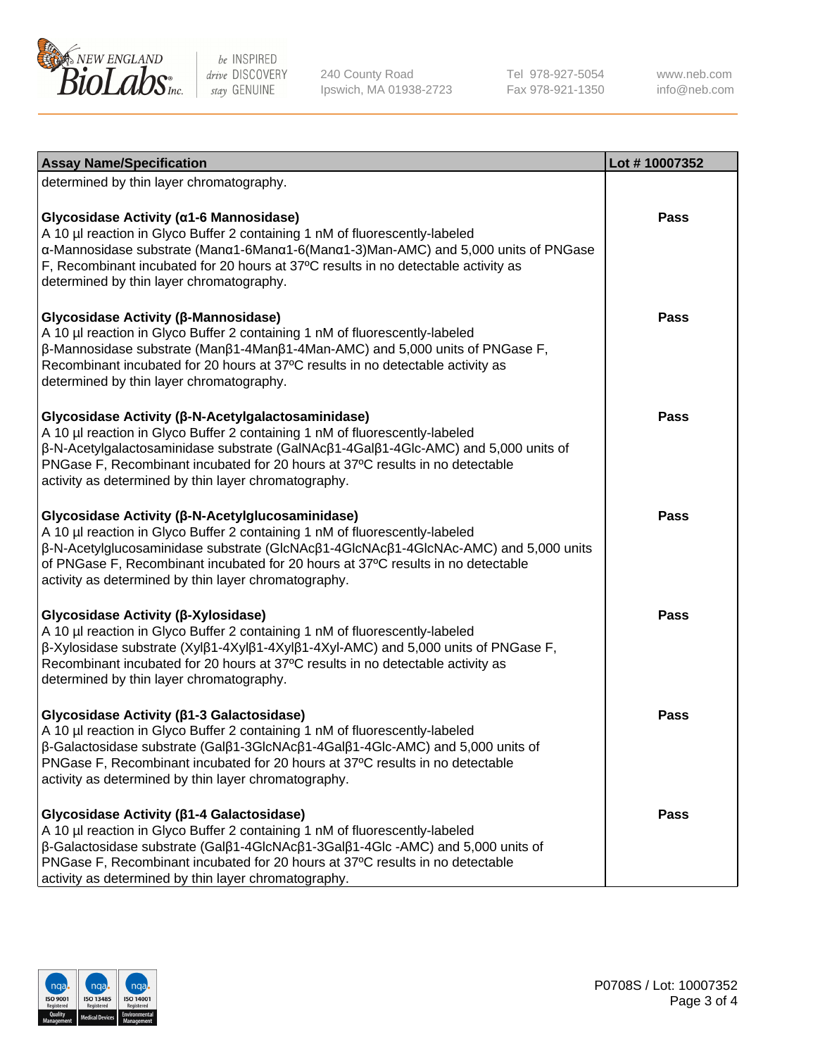

240 County Road Ipswich, MA 01938-2723 Tel 978-927-5054 Fax 978-921-1350

www.neb.com info@neb.com

| <b>Assay Name/Specification</b>                                                                                                                                                                                                                                                                                                                                     | Lot #10007352 |
|---------------------------------------------------------------------------------------------------------------------------------------------------------------------------------------------------------------------------------------------------------------------------------------------------------------------------------------------------------------------|---------------|
| determined by thin layer chromatography.                                                                                                                                                                                                                                                                                                                            |               |
| Glycosidase Activity (α1-6 Mannosidase)<br>A 10 µl reaction in Glyco Buffer 2 containing 1 nM of fluorescently-labeled<br>α-Mannosidase substrate (Manα1-6Manα1-6(Manα1-3)Man-AMC) and 5,000 units of PNGase<br>F, Recombinant incubated for 20 hours at 37°C results in no detectable activity as<br>determined by thin layer chromatography.                      | Pass          |
| Glycosidase Activity (β-Mannosidase)<br>A 10 µl reaction in Glyco Buffer 2 containing 1 nM of fluorescently-labeled<br>$\beta$ -Mannosidase substrate (Man $\beta$ 1-4Man $\beta$ 1-4Man-AMC) and 5,000 units of PNGase F,<br>Recombinant incubated for 20 hours at 37°C results in no detectable activity as<br>determined by thin layer chromatography.           | Pass          |
| Glycosidase Activity (β-N-Acetylgalactosaminidase)<br>A 10 µl reaction in Glyco Buffer 2 containing 1 nM of fluorescently-labeled<br>β-N-Acetylgalactosaminidase substrate (GalNAcβ1-4Galβ1-4Glc-AMC) and 5,000 units of<br>PNGase F, Recombinant incubated for 20 hours at 37°C results in no detectable<br>activity as determined by thin layer chromatography.   | Pass          |
| Glycosidase Activity (β-N-Acetylglucosaminidase)<br>A 10 µl reaction in Glyco Buffer 2 containing 1 nM of fluorescently-labeled<br>β-N-Acetylglucosaminidase substrate (GlcNAcβ1-4GlcNAcβ1-4GlcNAc-AMC) and 5,000 units<br>of PNGase F, Recombinant incubated for 20 hours at 37°C results in no detectable<br>activity as determined by thin layer chromatography. | Pass          |
| Glycosidase Activity (β-Xylosidase)<br>A 10 µl reaction in Glyco Buffer 2 containing 1 nM of fluorescently-labeled<br>β-Xylosidase substrate (Xylβ1-4Xylβ1-4Xylβ1-4Xyl-AMC) and 5,000 units of PNGase F,<br>Recombinant incubated for 20 hours at 37°C results in no detectable activity as<br>determined by thin layer chromatography.                             | <b>Pass</b>   |
| Glycosidase Activity ( $\beta$ 1-3 Galactosidase)<br>A 10 µl reaction in Glyco Buffer 2 containing 1 nM of fluorescently-labeled<br>β-Galactosidase substrate (Galβ1-3GlcNAcβ1-4Galβ1-4Glc-AMC) and 5,000 units of<br>PNGase F, Recombinant incubated for 20 hours at 37°C results in no detectable<br>activity as determined by thin layer chromatography.         | <b>Pass</b>   |
| Glycosidase Activity (ß1-4 Galactosidase)<br>A 10 µl reaction in Glyco Buffer 2 containing 1 nM of fluorescently-labeled<br>β-Galactosidase substrate (Galβ1-4GlcNAcβ1-3Galβ1-4Glc -AMC) and 5,000 units of<br>PNGase F, Recombinant incubated for 20 hours at 37°C results in no detectable<br>activity as determined by thin layer chromatography.                | <b>Pass</b>   |